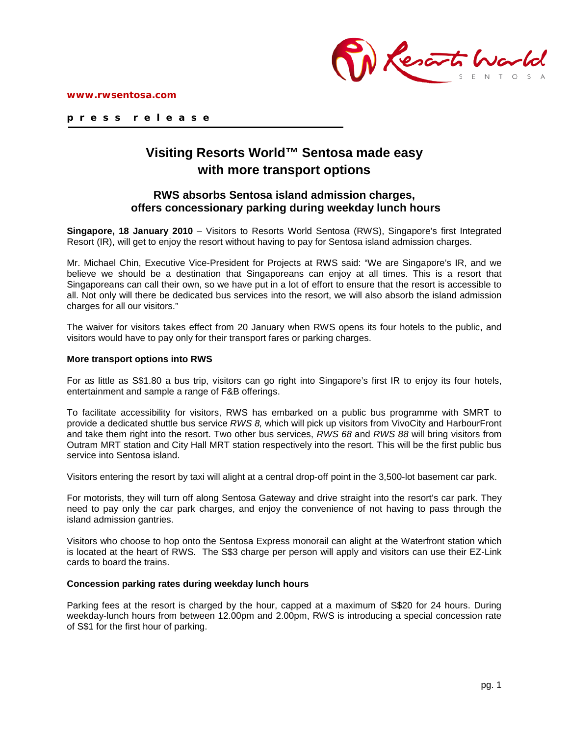



**p r e s s r e l e a s e**

# **Visiting Resorts World™ Sentosa made easy with more transport options**

## **RWS absorbs Sentosa island admission charges, offers concessionary parking during weekday lunch hours**

**Singapore, 18 January 2010** – Visitors to Resorts World Sentosa (RWS), Singapore's first Integrated Resort (IR), will get to enjoy the resort without having to pay for Sentosa island admission charges.

Mr. Michael Chin, Executive Vice-President for Projects at RWS said: "We are Singapore's IR, and we believe we should be a destination that Singaporeans can enjoy at all times. This is a resort that Singaporeans can call their own, so we have put in a lot of effort to ensure that the resort is accessible to all. Not only will there be dedicated bus services into the resort, we will also absorb the island admission charges for all our visitors."

The waiver for visitors takes effect from 20 January when RWS opens its four hotels to the public, and visitors would have to pay only for their transport fares or parking charges.

#### **More transport options into RWS**

For as little as S\$1.80 a bus trip, visitors can go right into Singapore's first IR to enjoy its four hotels, entertainment and sample a range of F&B offerings.

To facilitate accessibility for visitors, RWS has embarked on a public bus programme with SMRT to provide a dedicated shuttle bus service *RWS 8,* which will pick up visitors from VivoCity and HarbourFront and take them right into the resort. Two other bus services, *RWS 68* and *RWS 88* will bring visitors from Outram MRT station and City Hall MRT station respectively into the resort. This will be the first public bus service into Sentosa island.

Visitors entering the resort by taxi will alight at a central drop-off point in the 3,500-lot basement car park.

For motorists, they will turn off along Sentosa Gateway and drive straight into the resort's car park. They need to pay only the car park charges, and enjoy the convenience of not having to pass through the island admission gantries.

Visitors who choose to hop onto the Sentosa Express monorail can alight at the Waterfront station which is located at the heart of RWS. The S\$3 charge per person will apply and visitors can use their EZ-Link cards to board the trains.

#### **Concession parking rates during weekday lunch hours**

Parking fees at the resort is charged by the hour, capped at a maximum of S\$20 for 24 hours. During weekday-lunch hours from between 12.00pm and 2.00pm, RWS is introducing a special concession rate of S\$1 for the first hour of parking.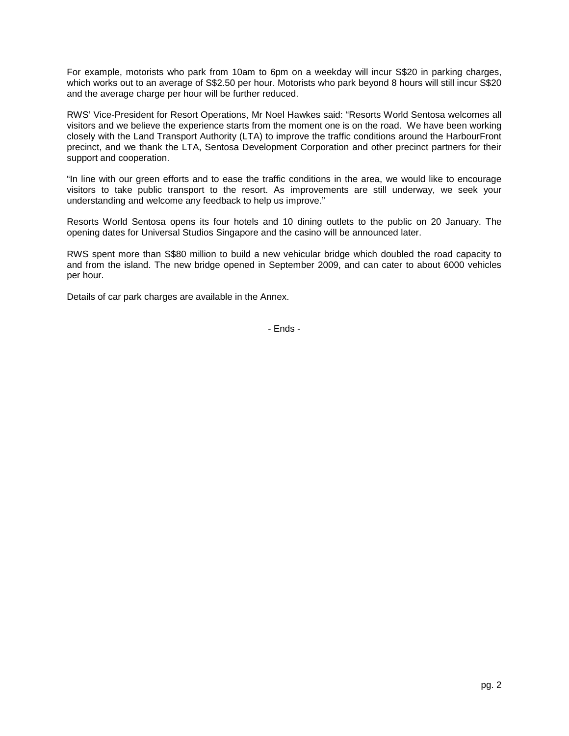For example, motorists who park from 10am to 6pm on a weekday will incur S\$20 in parking charges, which works out to an average of S\$2.50 per hour. Motorists who park beyond 8 hours will still incur S\$20 and the average charge per hour will be further reduced.

RWS' Vice-President for Resort Operations, Mr Noel Hawkes said: "Resorts World Sentosa welcomes all visitors and we believe the experience starts from the moment one is on the road. We have been working closely with the Land Transport Authority (LTA) to improve the traffic conditions around the HarbourFront precinct, and we thank the LTA, Sentosa Development Corporation and other precinct partners for their support and cooperation.

"In line with our green efforts and to ease the traffic conditions in the area, we would like to encourage visitors to take public transport to the resort. As improvements are still underway, we seek your understanding and welcome any feedback to help us improve."

Resorts World Sentosa opens its four hotels and 10 dining outlets to the public on 20 January. The opening dates for Universal Studios Singapore and the casino will be announced later.

RWS spent more than S\$80 million to build a new vehicular bridge which doubled the road capacity to and from the island. The new bridge opened in September 2009, and can cater to about 6000 vehicles per hour.

Details of car park charges are available in the Annex.

- Ends -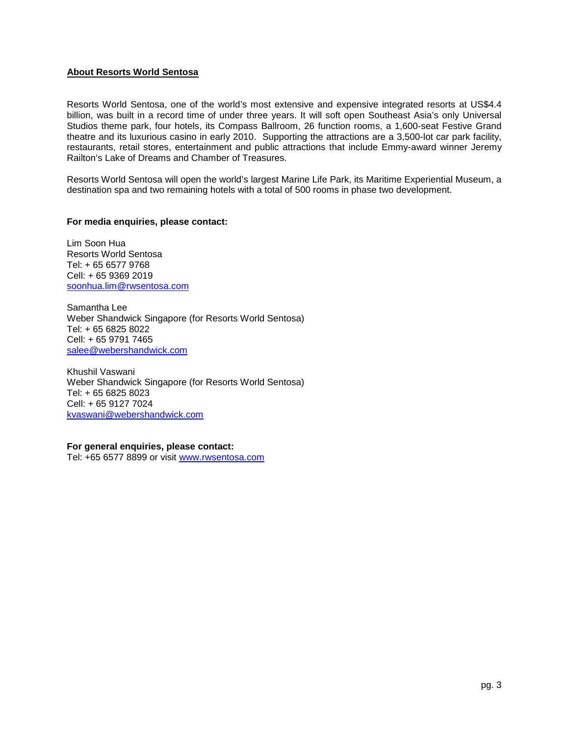### **About Resorts World Sentosa**

Resorts World Sentosa, one of the world's most extensive and expensive integrated resorts at US\$4.4 billion, was built in a record time of under three years. It will soft open Southeast Asia's only Universal Studios theme park, four hotels, its Compass Ballroom, 26 function rooms, a 1,600-seat Festive Grand theatre and its luxurious casino in early 2010. Supporting the attractions are a 3,500-lot car park facility, restaurants, retail stores, entertainment and public attractions that include Emmy-award winner Jeremy Railton's Lake of Dreams and Chamber of Treasures.

Resorts World Sentosa will open the world's largest Marine Life Park, its Maritime Experiential Museum, a destination spa and two remaining hotels with a total of 500 rooms in phase two development.

#### **For media enquiries, please contact:**

Lim Soon Hua Resorts World Sentosa Tel: + 65 6577 9768 Cell: + 65 9369 2019 [soonhua.lim@rwsentosa.com](mailto:soonhua.lim@rwsentosa.com)

Samantha Lee Weber Shandwick Singapore (for Resorts World Sentosa) Tel: + 65 6825 8022 Cell: + 65 9791 7465 [salee@webershandwick.com](mailto:salee@webershandwick.com)

Khushil Vaswani Weber Shandwick Singapore (for Resorts World Sentosa) Tel: + 65 6825 8023 Cell: + 65 9127 7024 [kvaswani@webershandwick.com](mailto:kvaswani@webershandwick.com)

**For general enquiries, please contact:**

Tel: +65 6577 8899 or visit [www.rwsentosa.com](http://www.rwsentosa.com/)